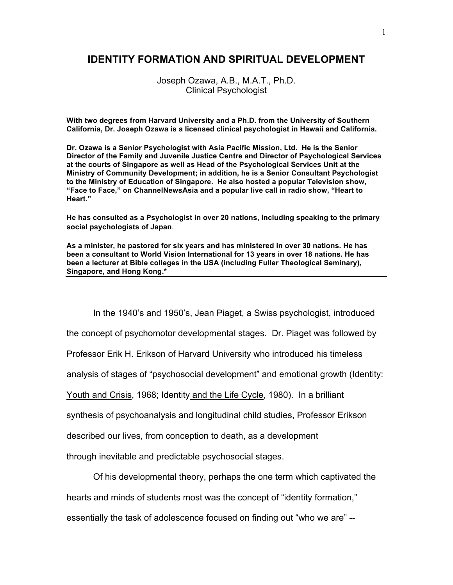## **IDENTITY FORMATION AND SPIRITUAL DEVELOPMENT**

Joseph Ozawa, A.B., M.A.T., Ph.D. Clinical Psychologist

**With two degrees from Harvard University and a Ph.D. from the University of Southern California, Dr. Joseph Ozawa is a licensed clinical psychologist in Hawaii and California.** 

**Dr. Ozawa is a Senior Psychologist with Asia Pacific Mission, Ltd. He is the Senior Director of the Family and Juvenile Justice Centre and Director of Psychological Services at the courts of Singapore as well as Head of the Psychological Services Unit at the Ministry of Community Development; in addition, he is a Senior Consultant Psychologist to the Ministry of Education of Singapore. He also hosted a popular Television show, "Face to Face," on ChannelNewsAsia and a popular live call in radio show, "Heart to Heart."**

**He has consulted as a Psychologist in over 20 nations, including speaking to the primary social psychologists of Japan**.

**As a minister, he pastored for six years and has ministered in over 30 nations. He has been a consultant to World Vision International for 13 years in over 18 nations. He has been a lecturer at Bible colleges in the USA (including Fuller Theological Seminary), Singapore, and Hong Kong.\*** 

In the 1940's and 1950's, Jean Piaget, a Swiss psychologist, introduced the concept of psychomotor developmental stages. Dr. Piaget was followed by Professor Erik H. Erikson of Harvard University who introduced his timeless analysis of stages of "psychosocial development" and emotional growth (Identity: Youth and Crisis, 1968; Identity and the Life Cycle, 1980). In a brilliant synthesis of psychoanalysis and longitudinal child studies, Professor Erikson described our lives, from conception to death, as a development through inevitable and predictable psychosocial stages.

Of his developmental theory, perhaps the one term which captivated the hearts and minds of students most was the concept of "identity formation," essentially the task of adolescence focused on finding out "who we are" --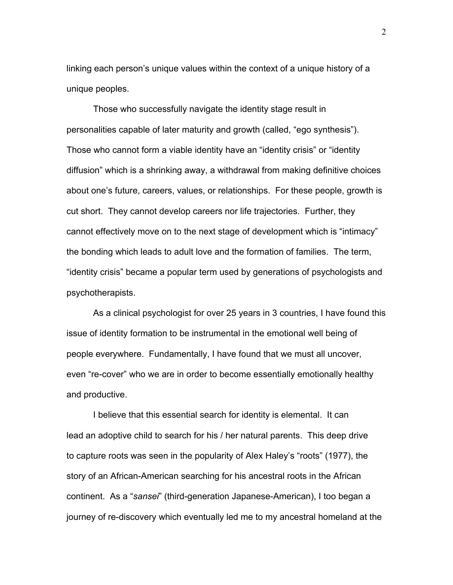linking each person's unique values within the context of a unique history of a unique peoples.

Those who successfully navigate the identity stage result in personalities capable of later maturity and growth (called, "ego synthesis"). Those who cannot form a viable identity have an "identity crisis" or "identity diffusion" which is a shrinking away, a withdrawal from making definitive choices about one's future, careers, values, or relationships. For these people, growth is cut short. They cannot develop careers nor life trajectories. Further, they cannot effectively move on to the next stage of development which is "intimacy" the bonding which leads to adult love and the formation of families. The term, "identity crisis" became a popular term used by generations of psychologists and psychotherapists.

As a clinical psychologist for over 25 years in 3 countries, I have found this issue of identity formation to be instrumental in the emotional well being of people everywhere. Fundamentally, I have found that we must all uncover, even "re-cover" who we are in order to become essentially emotionally healthy and productive.

I believe that this essential search for identity is elemental. It can lead an adoptive child to search for his / her natural parents. This deep drive to capture roots was seen in the popularity of Alex Haley's "roots" (1977), the story of an African-American searching for his ancestral roots in the African continent. As a "*sansei*" (third-generation Japanese-American), I too began a journey of re-discovery which eventually led me to my ancestral homeland at the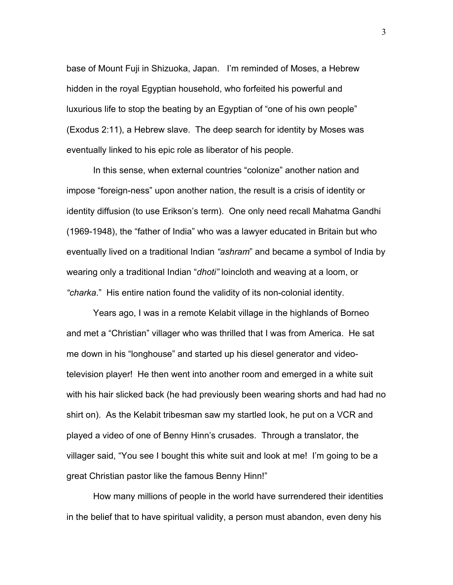base of Mount Fuji in Shizuoka, Japan. I'm reminded of Moses, a Hebrew hidden in the royal Egyptian household, who forfeited his powerful and luxurious life to stop the beating by an Egyptian of "one of his own people" (Exodus 2:11), a Hebrew slave. The deep search for identity by Moses was eventually linked to his epic role as liberator of his people.

In this sense, when external countries "colonize" another nation and impose "foreign-ness" upon another nation, the result is a crisis of identity or identity diffusion (to use Erikson's term). One only need recall Mahatma Gandhi (1969-1948), the "father of India" who was a lawyer educated in Britain but who eventually lived on a traditional Indian *"ashram*" and became a symbol of India by wearing only a traditional Indian "*dhoti"* loincloth and weaving at a loom, or *"charka*." His entire nation found the validity of its non-colonial identity.

Years ago, I was in a remote Kelabit village in the highlands of Borneo and met a "Christian" villager who was thrilled that I was from America. He sat me down in his "longhouse" and started up his diesel generator and videotelevision player! He then went into another room and emerged in a white suit with his hair slicked back (he had previously been wearing shorts and had had no shirt on). As the Kelabit tribesman saw my startled look, he put on a VCR and played a video of one of Benny Hinn's crusades. Through a translator, the villager said, "You see I bought this white suit and look at me! I'm going to be a great Christian pastor like the famous Benny Hinn!"

How many millions of people in the world have surrendered their identities in the belief that to have spiritual validity, a person must abandon, even deny his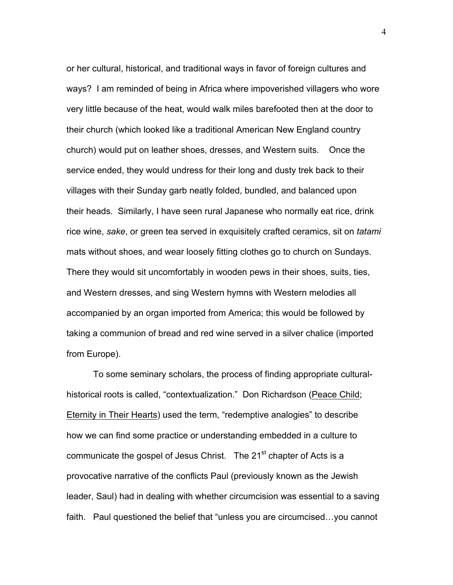or her cultural, historical, and traditional ways in favor of foreign cultures and ways? I am reminded of being in Africa where impoverished villagers who wore very little because of the heat, would walk miles barefooted then at the door to their church (which looked like a traditional American New England country church) would put on leather shoes, dresses, and Western suits. Once the service ended, they would undress for their long and dusty trek back to their villages with their Sunday garb neatly folded, bundled, and balanced upon their heads. Similarly, I have seen rural Japanese who normally eat rice, drink rice wine, *sake*, or green tea served in exquisitely crafted ceramics, sit on *tatami*  mats without shoes, and wear loosely fitting clothes go to church on Sundays. There they would sit uncomfortably in wooden pews in their shoes, suits, ties, and Western dresses, and sing Western hymns with Western melodies all accompanied by an organ imported from America; this would be followed by taking a communion of bread and red wine served in a silver chalice (imported from Europe).

To some seminary scholars, the process of finding appropriate culturalhistorical roots is called, "contextualization." Don Richardson (Peace Child; Eternity in Their Hearts) used the term, "redemptive analogies" to describe how we can find some practice or understanding embedded in a culture to communicate the gospel of Jesus Christ. The  $21<sup>st</sup>$  chapter of Acts is a provocative narrative of the conflicts Paul (previously known as the Jewish leader, Saul) had in dealing with whether circumcision was essential to a saving faith. Paul questioned the belief that "unless you are circumcised…you cannot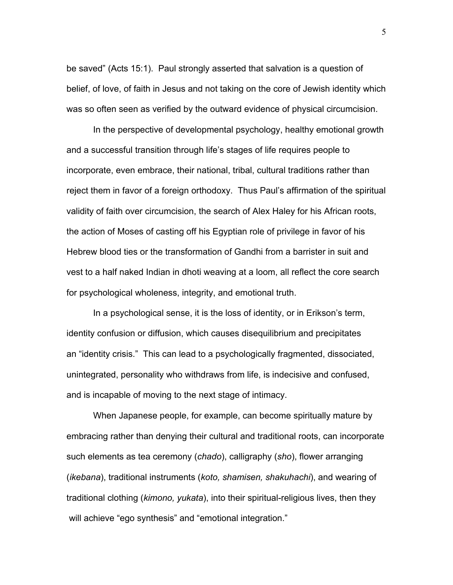be saved" (Acts 15:1). Paul strongly asserted that salvation is a question of belief, of love, of faith in Jesus and not taking on the core of Jewish identity which was so often seen as verified by the outward evidence of physical circumcision.

In the perspective of developmental psychology, healthy emotional growth and a successful transition through life's stages of life requires people to incorporate, even embrace, their national, tribal, cultural traditions rather than reject them in favor of a foreign orthodoxy. Thus Paul's affirmation of the spiritual validity of faith over circumcision, the search of Alex Haley for his African roots, the action of Moses of casting off his Egyptian role of privilege in favor of his Hebrew blood ties or the transformation of Gandhi from a barrister in suit and vest to a half naked Indian in dhoti weaving at a loom, all reflect the core search for psychological wholeness, integrity, and emotional truth.

In a psychological sense, it is the loss of identity, or in Erikson's term, identity confusion or diffusion, which causes disequilibrium and precipitates an "identity crisis." This can lead to a psychologically fragmented, dissociated, unintegrated, personality who withdraws from life, is indecisive and confused, and is incapable of moving to the next stage of intimacy.

When Japanese people, for example, can become spiritually mature by embracing rather than denying their cultural and traditional roots, can incorporate such elements as tea ceremony (*chado*), calligraphy (*sho*), flower arranging (*ikebana*), traditional instruments (*koto, shamisen, shakuhachi*), and wearing of traditional clothing (*kimono, yukata*), into their spiritual-religious lives, then they will achieve "ego synthesis" and "emotional integration."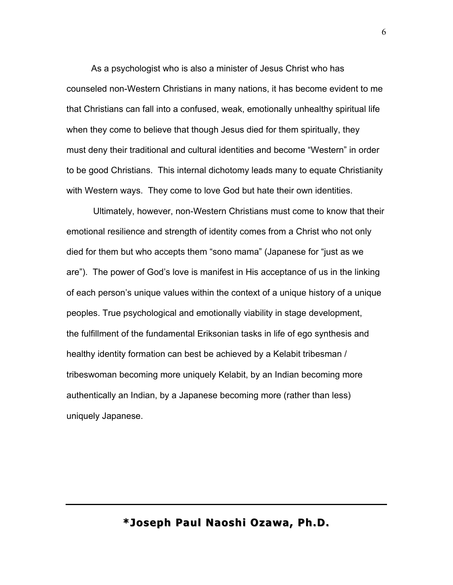As a psychologist who is also a minister of Jesus Christ who has counseled non-Western Christians in many nations, it has become evident to me that Christians can fall into a confused, weak, emotionally unhealthy spiritual life when they come to believe that though Jesus died for them spiritually, they must deny their traditional and cultural identities and become "Western" in order to be good Christians. This internal dichotomy leads many to equate Christianity with Western ways. They come to love God but hate their own identities.

Ultimately, however, non-Western Christians must come to know that their emotional resilience and strength of identity comes from a Christ who not only died for them but who accepts them "sono mama" (Japanese for "just as we are"). The power of God's love is manifest in His acceptance of us in the linking of each person's unique values within the context of a unique history of a unique peoples. True psychological and emotionally viability in stage development, the fulfillment of the fundamental Eriksonian tasks in life of ego synthesis and healthy identity formation can best be achieved by a Kelabit tribesman / tribeswoman becoming more uniquely Kelabit, by an Indian becoming more authentically an Indian, by a Japanese becoming more (rather than less) uniquely Japanese.

# **\*Joseph Paul Naoshi Ozawa, Ph.D. \*Joseph Paul Naoshi Ozawa,**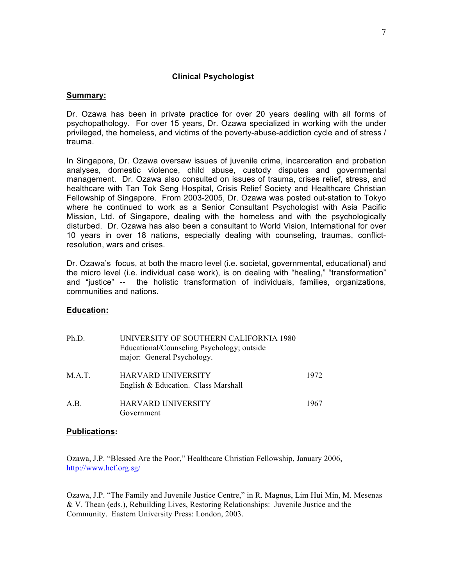### **Clinical Psychologist**

### **Summary:**

Dr. Ozawa has been in private practice for over 20 years dealing with all forms of psychopathology. For over 15 years, Dr. Ozawa specialized in working with the under privileged, the homeless, and victims of the poverty-abuse-addiction cycle and of stress / trauma.

In Singapore, Dr. Ozawa oversaw issues of juvenile crime, incarceration and probation analyses, domestic violence, child abuse, custody disputes and governmental management. Dr. Ozawa also consulted on issues of trauma, crises relief, stress, and healthcare with Tan Tok Seng Hospital, Crisis Relief Society and Healthcare Christian Fellowship of Singapore. From 2003-2005, Dr. Ozawa was posted out-station to Tokyo where he continued to work as a Senior Consultant Psychologist with Asia Pacific Mission, Ltd. of Singapore, dealing with the homeless and with the psychologically disturbed. Dr. Ozawa has also been a consultant to World Vision, International for over 10 years in over 18 nations, especially dealing with counseling, traumas, conflictresolution, wars and crises.

Dr. Ozawa's focus, at both the macro level (i.e. societal, governmental, educational) and the micro level (i.e. individual case work), is on dealing with "healing," "transformation" and "justice" -- the holistic transformation of individuals, families, organizations, communities and nations.

## **Education:**

| Ph.D.  | UNIVERSITY OF SOUTHERN CALIFORNIA 1980<br>Educational/Counseling Psychology; outside<br>major: General Psychology. |      |
|--------|--------------------------------------------------------------------------------------------------------------------|------|
| M.A.T. | <b>HARVARD UNIVERSITY</b><br>English & Education. Class Marshall                                                   | 1972 |
| A.B.   | <b>HARVARD UNIVERSITY</b><br>Government                                                                            | 1967 |

#### **Publications:**

Ozawa, J.P. "Blessed Are the Poor," Healthcare Christian Fellowship, January 2006, http://www.hcf.org.sg/

Ozawa, J.P. "The Family and Juvenile Justice Centre," in R. Magnus, Lim Hui Min, M. Mesenas & V. Thean (eds.), Rebuilding Lives, Restoring Relationships: Juvenile Justice and the Community. Eastern University Press: London, 2003.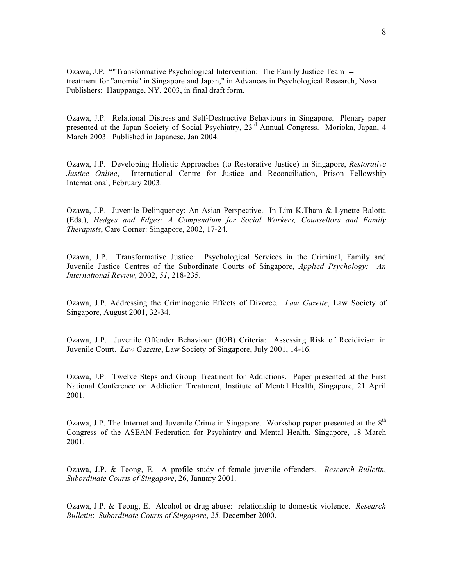Ozawa, J.P. ""Transformative Psychological Intervention: The Family Justice Team - treatment for "anomie" in Singapore and Japan," in Advances in Psychological Research, Nova Publishers: Hauppauge, NY, 2003, in final draft form.

Ozawa, J.P. Relational Distress and Self-Destructive Behaviours in Singapore. Plenary paper presented at the Japan Society of Social Psychiatry, 23<sup>rd</sup> Annual Congress. Morioka, Japan, 4 March 2003. Published in Japanese, Jan 2004.

Ozawa, J.P. Developing Holistic Approaches (to Restorative Justice) in Singapore, *Restorative Justice Online*, International Centre for Justice and Reconciliation, Prison Fellowship International, February 2003.

Ozawa, J.P. Juvenile Delinquency: An Asian Perspective. In Lim K.Tham & Lynette Balotta (Eds.), *Hedges and Edges: A Compendium for Social Workers, Counsellors and Family Therapists*, Care Corner: Singapore, 2002, 17-24.

Ozawa, J.P. Transformative Justice: Psychological Services in the Criminal, Family and Juvenile Justice Centres of the Subordinate Courts of Singapore, *Applied Psychology: An International Review,* 2002, *51*, 218-235.

Ozawa, J.P. Addressing the Criminogenic Effects of Divorce. *Law Gazette*, Law Society of Singapore, August 2001, 32-34.

Ozawa, J.P. Juvenile Offender Behaviour (JOB) Criteria: Assessing Risk of Recidivism in Juvenile Court. *Law Gazette*, Law Society of Singapore, July 2001, 14-16.

Ozawa, J.P. Twelve Steps and Group Treatment for Addictions. Paper presented at the First National Conference on Addiction Treatment, Institute of Mental Health, Singapore, 21 April 2001.

Ozawa, J.P. The Internet and Juvenile Crime in Singapore. Workshop paper presented at the  $8<sup>th</sup>$ Congress of the ASEAN Federation for Psychiatry and Mental Health, Singapore, 18 March 2001.

Ozawa, J.P. & Teong, E. A profile study of female juvenile offenders. *Research Bulletin*, *Subordinate Courts of Singapore*, 26, January 2001.

Ozawa, J.P. & Teong, E. Alcohol or drug abuse: relationship to domestic violence. *Research Bulletin*: *Subordinate Courts of Singapore*, *25,* December 2000.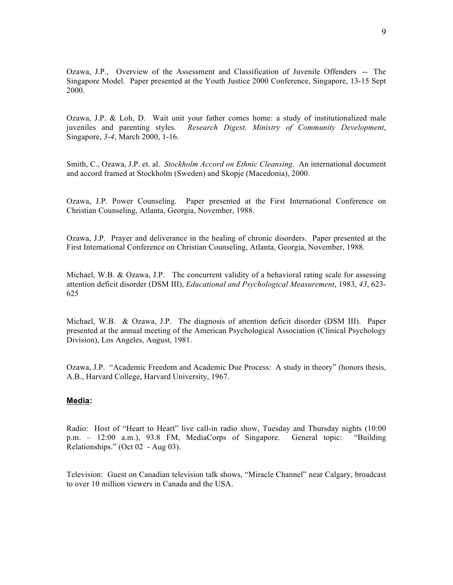Ozawa, J.P., Overview of the Assessment and Classification of Juvenile Offenders -- The Singapore Model. Paper presented at the Youth Justice 2000 Conference, Singapore, 13-15 Sept 2000.

Ozawa, J.P. & Loh, D. Wait unit your father comes home: a study of institutionalized male juveniles and parenting styles*. Research Digest, Ministry of Community Development*, Singapore, *3-4*, March 2000, 1-16.

Smith, C., Ozawa, J.P. et. al. *Stockholm Accord on Ethnic Cleansing*. An international document and accord framed at Stockholm (Sweden) and Skopje (Macedonia), 2000.

Ozawa, J.P. Power Counseling. Paper presented at the First International Conference on Christian Counseling, Atlanta, Georgia, November, 1988.

Ozawa, J.P. Prayer and deliverance in the healing of chronic disorders. Paper presented at the First International Conference on Christian Counseling, Atlanta, Georgia, November, 1988.

Michael, W.B. & Ozawa, J.P. The concurrent validity of a behavioral rating scale for assessing attention deficit disorder (DSM III), *Educational and Psychological Measurement*, 1983, *43*, 623- 625

Michael, W.B. & Ozawa, J.P. The diagnosis of attention deficit disorder (DSM III). Paper presented at the annual meeting of the American Psychological Association (Clinical Psychology Division), Los Angeles, August, 1981.

Ozawa, J.P. "Academic Freedom and Academic Due Process: A study in theory" (honors thesis, A.B., Harvard College, Harvard University, 1967.

#### **Media:**

Radio: Host of "Heart to Heart" live call-in radio show, Tuesday and Thursday nights (10:00 p.m. – 12:00 a.m.), 93.8 FM, MediaCorps of Singapore. General topic: "Building Relationships." (Oct 02 - Aug 03).

Television: Guest on Canadian television talk shows, "Miracle Channel" near Calgary, broadcast to over 10 million viewers in Canada and the USA.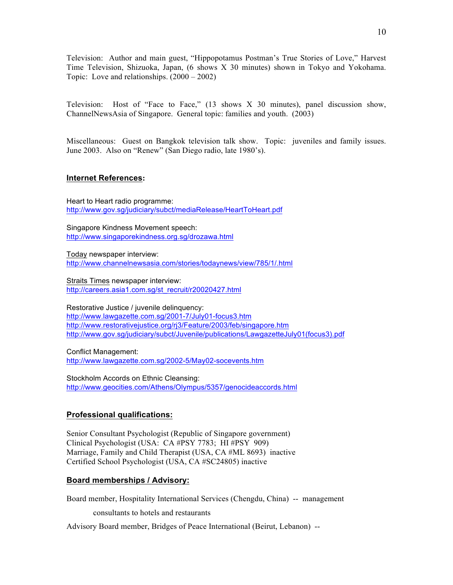Television: Author and main guest, "Hippopotamus Postman's True Stories of Love," Harvest Time Television, Shizuoka, Japan, (6 shows X 30 minutes) shown in Tokyo and Yokohama. Topic: Love and relationships. (2000 – 2002)

Television: Host of "Face to Face," (13 shows X 30 minutes), panel discussion show, ChannelNewsAsia of Singapore. General topic: families and youth. (2003)

Miscellaneous: Guest on Bangkok television talk show. Topic: juveniles and family issues. June 2003. Also on "Renew" (San Diego radio, late 1980's).

## **Internet References:**

Heart to Heart radio programme: http://www.gov.sg/judiciary/subct/mediaRelease/HeartToHeart.pdf

Singapore Kindness Movement speech: http://www.singaporekindness.org.sg/drozawa.html

Today newspaper interview: http://www.channelnewsasia.com/stories/todaynews/view/785/1/.html

Straits Times newspaper interview: http://careers.asia1.com.sg/st\_recruit/r20020427.html

Restorative Justice / juvenile delinquency: http://www.lawgazette.com.sg/2001-7/July01-focus3.htm http://www.restorativejustice.org/rj3/Feature/2003/feb/singapore.htm http://www.gov.sg/judiciary/subct/Juvenile/publications/LawgazetteJuly01(focus3).pdf

Conflict Management:

http://www.lawgazette.com.sg/2002-5/May02-socevents.htm

Stockholm Accords on Ethnic Cleansing: http://www.geocities.com/Athens/Olympus/5357/genocideaccords.html

#### **Professional qualifications:**

Senior Consultant Psychologist (Republic of Singapore government) Clinical Psychologist (USA: CA #PSY 7783; HI #PSY 909) Marriage, Family and Child Therapist (USA, CA #ML 8693) inactive Certified School Psychologist (USA, CA #SC24805) inactive

## **Board memberships / Advisory:**

Board member, Hospitality International Services (Chengdu, China) -- management

consultants to hotels and restaurants

Advisory Board member, Bridges of Peace International (Beirut, Lebanon) --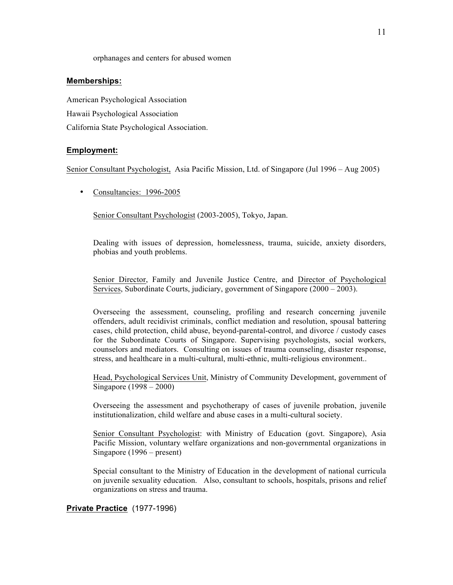orphanages and centers for abused women

## **Memberships:**

American Psychological Association Hawaii Psychological Association California State Psychological Association.

## **Employment:**

Senior Consultant Psychologist, Asia Pacific Mission, Ltd. of Singapore (Jul 1996 – Aug 2005)

• Consultancies: 1996-2005

Senior Consultant Psychologist (2003-2005), Tokyo, Japan.

Dealing with issues of depression, homelessness, trauma, suicide, anxiety disorders, phobias and youth problems.

Senior Director, Family and Juvenile Justice Centre, and Director of Psychological Services, Subordinate Courts, judiciary, government of Singapore (2000 – 2003).

Overseeing the assessment, counseling, profiling and research concerning juvenile offenders, adult recidivist criminals, conflict mediation and resolution, spousal battering cases, child protection, child abuse, beyond-parental-control, and divorce / custody cases for the Subordinate Courts of Singapore. Supervising psychologists, social workers, counselors and mediators. Consulting on issues of trauma counseling, disaster response, stress, and healthcare in a multi-cultural, multi-ethnic, multi-religious environment..

Head, Psychological Services Unit, Ministry of Community Development, government of Singapore (1998 – 2000)

Overseeing the assessment and psychotherapy of cases of juvenile probation, juvenile institutionalization, child welfare and abuse cases in a multi-cultural society.

Senior Consultant Psychologist: with Ministry of Education (govt. Singapore), Asia Pacific Mission, voluntary welfare organizations and non-governmental organizations in Singapore (1996 – present)

Special consultant to the Ministry of Education in the development of national curricula on juvenile sexuality education. Also, consultant to schools, hospitals, prisons and relief organizations on stress and trauma.

## **Private Practice** (1977-1996)